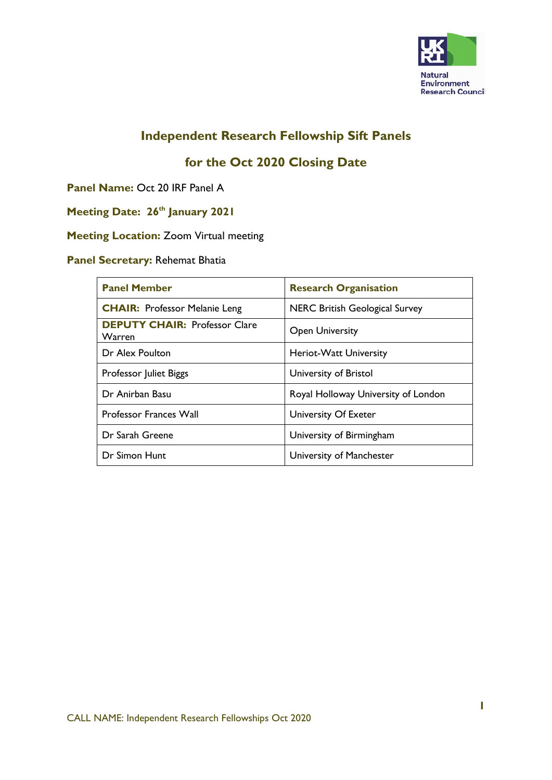

## **Independent Research Fellowship Sift Panels**

# **for the Oct 2020 Closing Date**

**Panel Name:** Oct 20 IRF Panel A

# **Meeting Date: 26<sup>th</sup> January 2021**

#### **Meeting Location:** Zoom Virtual meeting

### **Panel Secretary:** Rehemat Bhatia

| <b>Panel Member</b>                                   | <b>Research Organisation</b>          |
|-------------------------------------------------------|---------------------------------------|
| <b>CHAIR: Professor Melanie Leng</b>                  | <b>NERC British Geological Survey</b> |
| <b>DEPUTY CHAIR: Professor Clare</b><br><b>Warren</b> | <b>Open University</b>                |
| Dr Alex Poulton                                       | Heriot-Watt University                |
| Professor Juliet Biggs                                | University of Bristol                 |
| Dr Anirban Basu                                       | Royal Holloway University of London   |
| <b>Professor Frances Wall</b>                         | University Of Exeter                  |
| Dr Sarah Greene                                       | University of Birmingham              |
| Dr Simon Hunt                                         | University of Manchester              |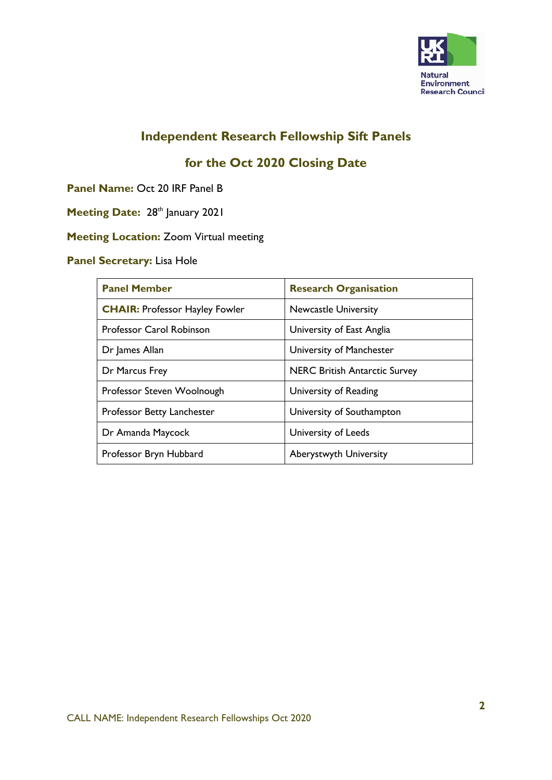

## **Independent Research Fellowship Sift Panels**

# **for the Oct 2020 Closing Date**

**Panel Name:** Oct 20 IRF Panel B

- **Meeting Date: 28th January 2021**
- **Meeting Location:** Zoom Virtual meeting

### **Panel Secretary:** Lisa Hole

| <b>Panel Member</b>                   | <b>Research Organisation</b>         |
|---------------------------------------|--------------------------------------|
| <b>CHAIR: Professor Hayley Fowler</b> | <b>Newcastle University</b>          |
| <b>Professor Carol Robinson</b>       | University of East Anglia            |
| Dr James Allan                        | University of Manchester             |
| Dr Marcus Frey                        | <b>NERC British Antarctic Survey</b> |
| Professor Steven Woolnough            | University of Reading                |
| Professor Betty Lanchester            | University of Southampton            |
| Dr Amanda Maycock                     | University of Leeds                  |
| Professor Bryn Hubbard                | <b>Aberystwyth University</b>        |